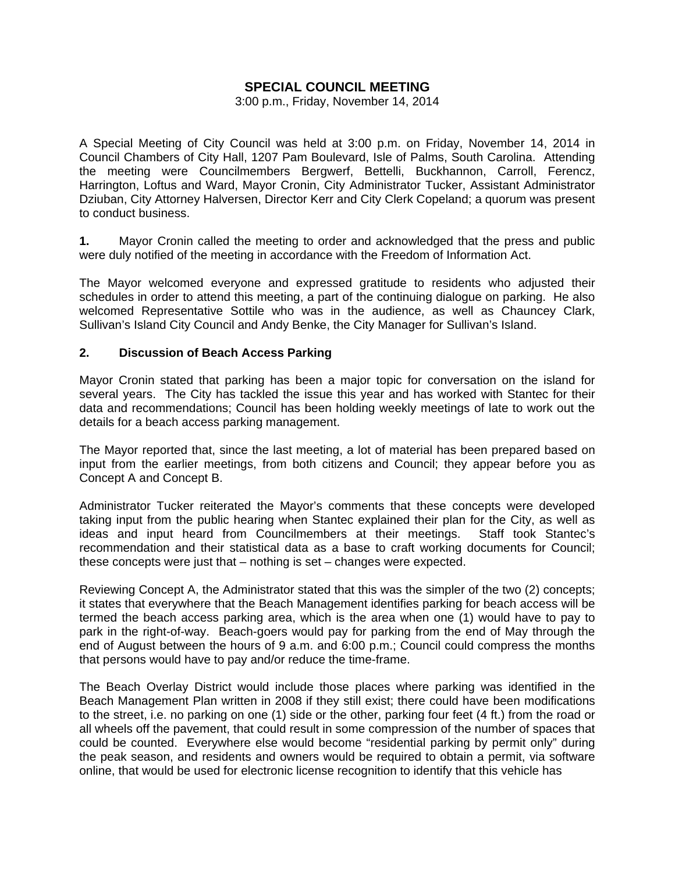# **SPECIAL COUNCIL MEETING**

3:00 p.m., Friday, November 14, 2014

A Special Meeting of City Council was held at 3:00 p.m. on Friday, November 14, 2014 in Council Chambers of City Hall, 1207 Pam Boulevard, Isle of Palms, South Carolina. Attending the meeting were Councilmembers Bergwerf, Bettelli, Buckhannon, Carroll, Ferencz, Harrington, Loftus and Ward, Mayor Cronin, City Administrator Tucker, Assistant Administrator Dziuban, City Attorney Halversen, Director Kerr and City Clerk Copeland; a quorum was present to conduct business.

**1.** Mayor Cronin called the meeting to order and acknowledged that the press and public were duly notified of the meeting in accordance with the Freedom of Information Act.

The Mayor welcomed everyone and expressed gratitude to residents who adjusted their schedules in order to attend this meeting, a part of the continuing dialogue on parking. He also welcomed Representative Sottile who was in the audience, as well as Chauncey Clark, Sullivan's Island City Council and Andy Benke, the City Manager for Sullivan's Island.

#### **2. Discussion of Beach Access Parking**

Mayor Cronin stated that parking has been a major topic for conversation on the island for several years. The City has tackled the issue this year and has worked with Stantec for their data and recommendations; Council has been holding weekly meetings of late to work out the details for a beach access parking management.

The Mayor reported that, since the last meeting, a lot of material has been prepared based on input from the earlier meetings, from both citizens and Council; they appear before you as Concept A and Concept B.

Administrator Tucker reiterated the Mayor's comments that these concepts were developed taking input from the public hearing when Stantec explained their plan for the City, as well as ideas and input heard from Councilmembers at their meetings. Staff took Stantec's recommendation and their statistical data as a base to craft working documents for Council; these concepts were just that – nothing is set – changes were expected.

Reviewing Concept A, the Administrator stated that this was the simpler of the two (2) concepts; it states that everywhere that the Beach Management identifies parking for beach access will be termed the beach access parking area, which is the area when one (1) would have to pay to park in the right-of-way. Beach-goers would pay for parking from the end of May through the end of August between the hours of 9 a.m. and 6:00 p.m.; Council could compress the months that persons would have to pay and/or reduce the time-frame.

The Beach Overlay District would include those places where parking was identified in the Beach Management Plan written in 2008 if they still exist; there could have been modifications to the street, i.e. no parking on one (1) side or the other, parking four feet (4 ft.) from the road or all wheels off the pavement, that could result in some compression of the number of spaces that could be counted. Everywhere else would become "residential parking by permit only" during the peak season, and residents and owners would be required to obtain a permit, via software online, that would be used for electronic license recognition to identify that this vehicle has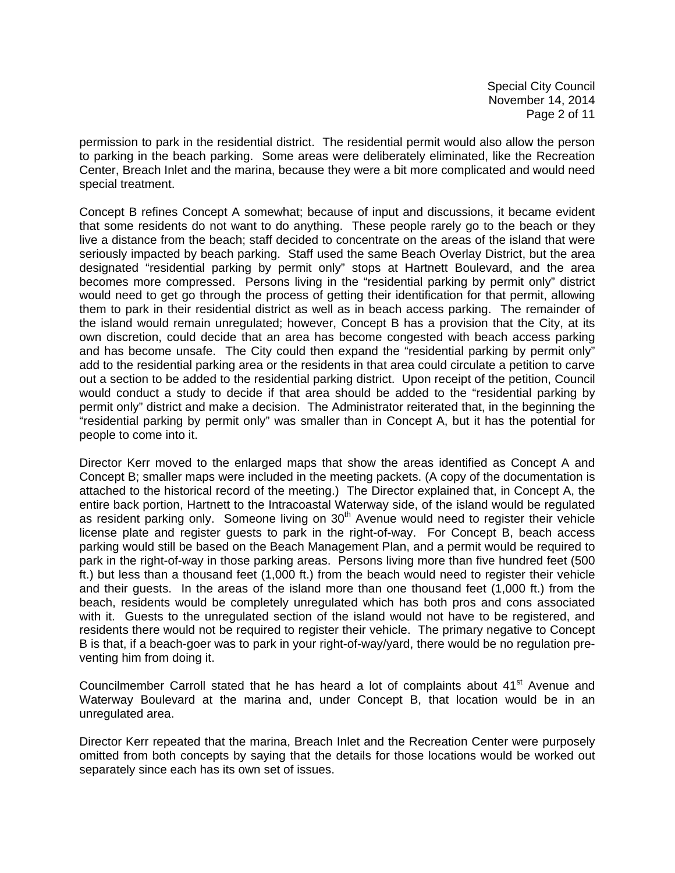permission to park in the residential district. The residential permit would also allow the person to parking in the beach parking. Some areas were deliberately eliminated, like the Recreation Center, Breach Inlet and the marina, because they were a bit more complicated and would need special treatment.

Concept B refines Concept A somewhat; because of input and discussions, it became evident that some residents do not want to do anything. These people rarely go to the beach or they live a distance from the beach; staff decided to concentrate on the areas of the island that were seriously impacted by beach parking. Staff used the same Beach Overlay District, but the area designated "residential parking by permit only" stops at Hartnett Boulevard, and the area becomes more compressed. Persons living in the "residential parking by permit only" district would need to get go through the process of getting their identification for that permit, allowing them to park in their residential district as well as in beach access parking. The remainder of the island would remain unregulated; however, Concept B has a provision that the City, at its own discretion, could decide that an area has become congested with beach access parking and has become unsafe. The City could then expand the "residential parking by permit only" add to the residential parking area or the residents in that area could circulate a petition to carve out a section to be added to the residential parking district. Upon receipt of the petition, Council would conduct a study to decide if that area should be added to the "residential parking by permit only" district and make a decision. The Administrator reiterated that, in the beginning the "residential parking by permit only" was smaller than in Concept A, but it has the potential for people to come into it.

Director Kerr moved to the enlarged maps that show the areas identified as Concept A and Concept B; smaller maps were included in the meeting packets. (A copy of the documentation is attached to the historical record of the meeting.) The Director explained that, in Concept A, the entire back portion, Hartnett to the Intracoastal Waterway side, of the island would be regulated as resident parking only. Someone living on 30<sup>th</sup> Avenue would need to register their vehicle license plate and register guests to park in the right-of-way. For Concept B, beach access parking would still be based on the Beach Management Plan, and a permit would be required to park in the right-of-way in those parking areas. Persons living more than five hundred feet (500 ft.) but less than a thousand feet (1,000 ft.) from the beach would need to register their vehicle and their guests. In the areas of the island more than one thousand feet (1,000 ft.) from the beach, residents would be completely unregulated which has both pros and cons associated with it. Guests to the unregulated section of the island would not have to be registered, and residents there would not be required to register their vehicle. The primary negative to Concept B is that, if a beach-goer was to park in your right-of-way/yard, there would be no regulation preventing him from doing it.

Councilmember Carroll stated that he has heard a lot of complaints about 41<sup>st</sup> Avenue and Waterway Boulevard at the marina and, under Concept B, that location would be in an unregulated area.

Director Kerr repeated that the marina, Breach Inlet and the Recreation Center were purposely omitted from both concepts by saying that the details for those locations would be worked out separately since each has its own set of issues.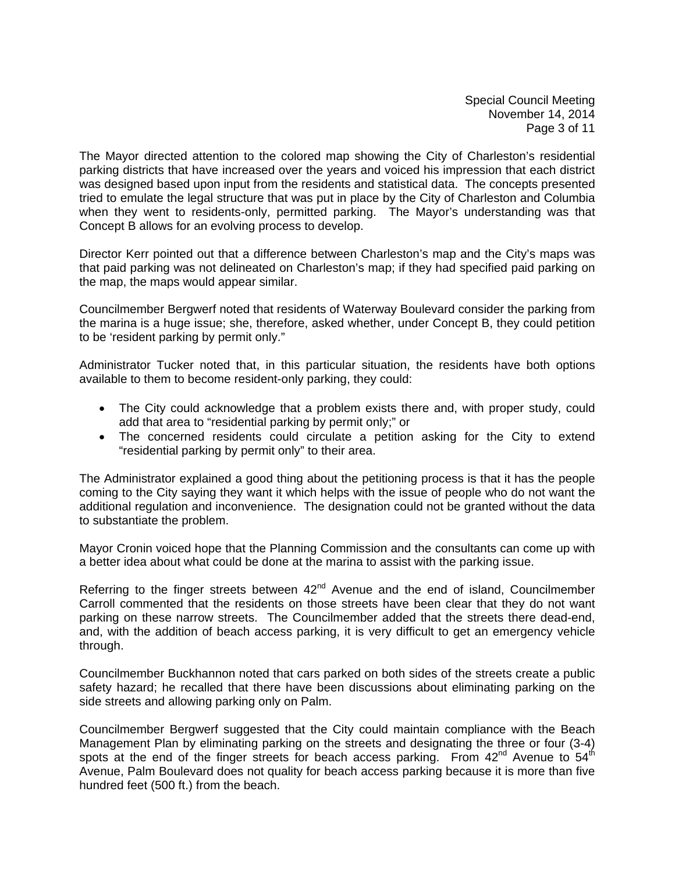Special Council Meeting November 14, 2014 Page 3 of 11

The Mayor directed attention to the colored map showing the City of Charleston's residential parking districts that have increased over the years and voiced his impression that each district was designed based upon input from the residents and statistical data. The concepts presented tried to emulate the legal structure that was put in place by the City of Charleston and Columbia when they went to residents-only, permitted parking. The Mayor's understanding was that Concept B allows for an evolving process to develop.

Director Kerr pointed out that a difference between Charleston's map and the City's maps was that paid parking was not delineated on Charleston's map; if they had specified paid parking on the map, the maps would appear similar.

Councilmember Bergwerf noted that residents of Waterway Boulevard consider the parking from the marina is a huge issue; she, therefore, asked whether, under Concept B, they could petition to be 'resident parking by permit only."

Administrator Tucker noted that, in this particular situation, the residents have both options available to them to become resident-only parking, they could:

- The City could acknowledge that a problem exists there and, with proper study, could add that area to "residential parking by permit only;" or
- The concerned residents could circulate a petition asking for the City to extend "residential parking by permit only" to their area.

The Administrator explained a good thing about the petitioning process is that it has the people coming to the City saying they want it which helps with the issue of people who do not want the additional regulation and inconvenience. The designation could not be granted without the data to substantiate the problem.

Mayor Cronin voiced hope that the Planning Commission and the consultants can come up with a better idea about what could be done at the marina to assist with the parking issue.

Referring to the finger streets between  $42<sup>nd</sup>$  Avenue and the end of island, Councilmember Carroll commented that the residents on those streets have been clear that they do not want parking on these narrow streets. The Councilmember added that the streets there dead-end, and, with the addition of beach access parking, it is very difficult to get an emergency vehicle through.

Councilmember Buckhannon noted that cars parked on both sides of the streets create a public safety hazard; he recalled that there have been discussions about eliminating parking on the side streets and allowing parking only on Palm.

Councilmember Bergwerf suggested that the City could maintain compliance with the Beach Management Plan by eliminating parking on the streets and designating the three or four (3-4) spots at the end of the finger streets for beach access parking. From 42<sup>nd</sup> Avenue to 54<sup>th</sup> Avenue, Palm Boulevard does not quality for beach access parking because it is more than five hundred feet (500 ft.) from the beach.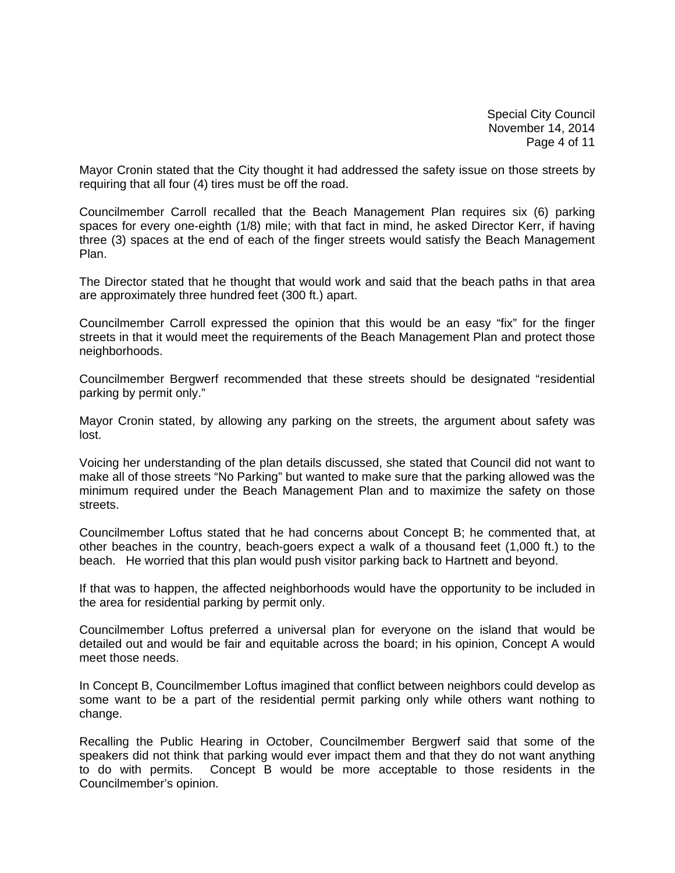Special City Council November 14, 2014 Page 4 of 11

Mayor Cronin stated that the City thought it had addressed the safety issue on those streets by requiring that all four (4) tires must be off the road.

Councilmember Carroll recalled that the Beach Management Plan requires six (6) parking spaces for every one-eighth (1/8) mile; with that fact in mind, he asked Director Kerr, if having three (3) spaces at the end of each of the finger streets would satisfy the Beach Management Plan.

The Director stated that he thought that would work and said that the beach paths in that area are approximately three hundred feet (300 ft.) apart.

Councilmember Carroll expressed the opinion that this would be an easy "fix" for the finger streets in that it would meet the requirements of the Beach Management Plan and protect those neighborhoods.

Councilmember Bergwerf recommended that these streets should be designated "residential parking by permit only."

Mayor Cronin stated, by allowing any parking on the streets, the argument about safety was lost.

Voicing her understanding of the plan details discussed, she stated that Council did not want to make all of those streets "No Parking" but wanted to make sure that the parking allowed was the minimum required under the Beach Management Plan and to maximize the safety on those streets.

Councilmember Loftus stated that he had concerns about Concept B; he commented that, at other beaches in the country, beach-goers expect a walk of a thousand feet (1,000 ft.) to the beach. He worried that this plan would push visitor parking back to Hartnett and beyond.

If that was to happen, the affected neighborhoods would have the opportunity to be included in the area for residential parking by permit only.

Councilmember Loftus preferred a universal plan for everyone on the island that would be detailed out and would be fair and equitable across the board; in his opinion, Concept A would meet those needs.

In Concept B, Councilmember Loftus imagined that conflict between neighbors could develop as some want to be a part of the residential permit parking only while others want nothing to change.

Recalling the Public Hearing in October, Councilmember Bergwerf said that some of the speakers did not think that parking would ever impact them and that they do not want anything to do with permits. Concept B would be more acceptable to those residents in the Councilmember's opinion.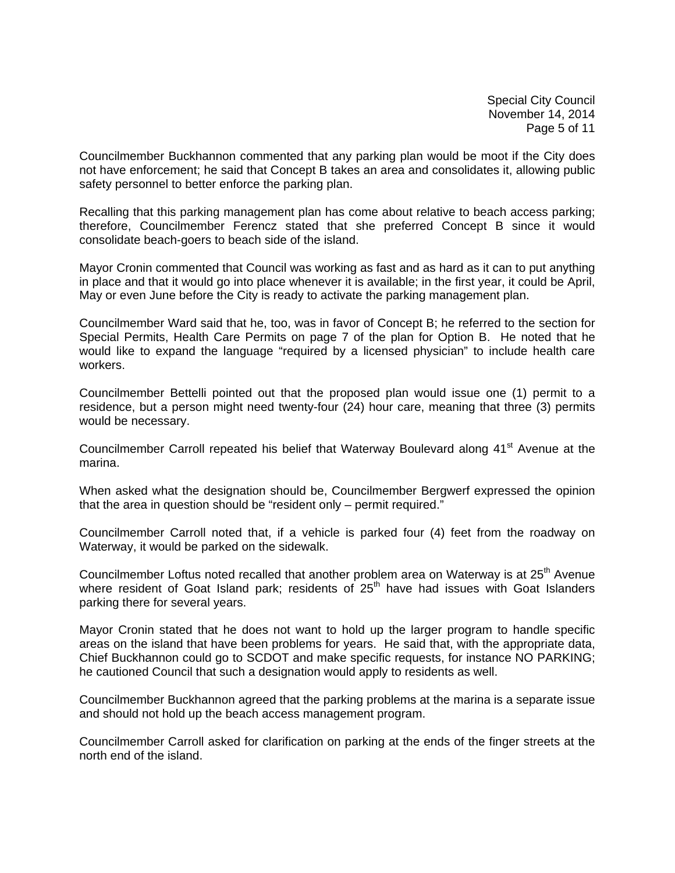Special City Council November 14, 2014 Page 5 of 11

Councilmember Buckhannon commented that any parking plan would be moot if the City does not have enforcement; he said that Concept B takes an area and consolidates it, allowing public safety personnel to better enforce the parking plan.

Recalling that this parking management plan has come about relative to beach access parking; therefore, Councilmember Ferencz stated that she preferred Concept B since it would consolidate beach-goers to beach side of the island.

Mayor Cronin commented that Council was working as fast and as hard as it can to put anything in place and that it would go into place whenever it is available; in the first year, it could be April, May or even June before the City is ready to activate the parking management plan.

Councilmember Ward said that he, too, was in favor of Concept B; he referred to the section for Special Permits, Health Care Permits on page 7 of the plan for Option B. He noted that he would like to expand the language "required by a licensed physician" to include health care workers.

Councilmember Bettelli pointed out that the proposed plan would issue one (1) permit to a residence, but a person might need twenty-four (24) hour care, meaning that three (3) permits would be necessary.

Councilmember Carroll repeated his belief that Waterway Boulevard along 41<sup>st</sup> Avenue at the marina.

When asked what the designation should be, Councilmember Bergwerf expressed the opinion that the area in question should be "resident only – permit required."

Councilmember Carroll noted that, if a vehicle is parked four (4) feet from the roadway on Waterway, it would be parked on the sidewalk.

Councilmember Loftus noted recalled that another problem area on Waterway is at 25<sup>th</sup> Avenue where resident of Goat Island park; residents of 25<sup>th</sup> have had issues with Goat Islanders parking there for several years.

Mayor Cronin stated that he does not want to hold up the larger program to handle specific areas on the island that have been problems for years. He said that, with the appropriate data, Chief Buckhannon could go to SCDOT and make specific requests, for instance NO PARKING; he cautioned Council that such a designation would apply to residents as well.

Councilmember Buckhannon agreed that the parking problems at the marina is a separate issue and should not hold up the beach access management program.

Councilmember Carroll asked for clarification on parking at the ends of the finger streets at the north end of the island.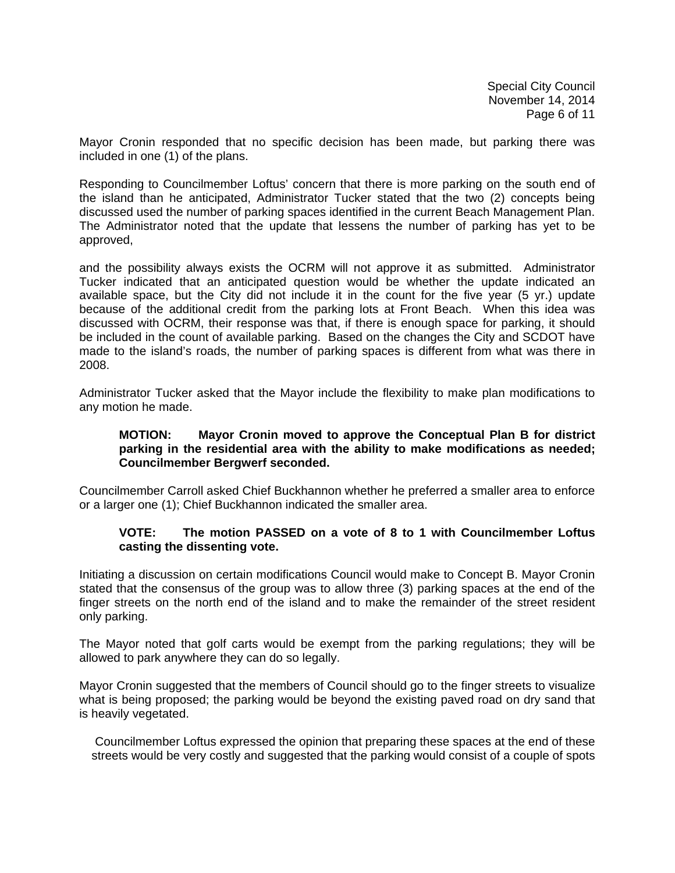Mayor Cronin responded that no specific decision has been made, but parking there was included in one (1) of the plans.

Responding to Councilmember Loftus' concern that there is more parking on the south end of the island than he anticipated, Administrator Tucker stated that the two (2) concepts being discussed used the number of parking spaces identified in the current Beach Management Plan. The Administrator noted that the update that lessens the number of parking has yet to be approved,

and the possibility always exists the OCRM will not approve it as submitted. Administrator Tucker indicated that an anticipated question would be whether the update indicated an available space, but the City did not include it in the count for the five year (5 yr.) update because of the additional credit from the parking lots at Front Beach. When this idea was discussed with OCRM, their response was that, if there is enough space for parking, it should be included in the count of available parking. Based on the changes the City and SCDOT have made to the island's roads, the number of parking spaces is different from what was there in 2008.

Administrator Tucker asked that the Mayor include the flexibility to make plan modifications to any motion he made.

### **MOTION: Mayor Cronin moved to approve the Conceptual Plan B for district parking in the residential area with the ability to make modifications as needed; Councilmember Bergwerf seconded.**

Councilmember Carroll asked Chief Buckhannon whether he preferred a smaller area to enforce or a larger one (1); Chief Buckhannon indicated the smaller area.

## **VOTE: The motion PASSED on a vote of 8 to 1 with Councilmember Loftus casting the dissenting vote.**

Initiating a discussion on certain modifications Council would make to Concept B. Mayor Cronin stated that the consensus of the group was to allow three (3) parking spaces at the end of the finger streets on the north end of the island and to make the remainder of the street resident only parking.

The Mayor noted that golf carts would be exempt from the parking regulations; they will be allowed to park anywhere they can do so legally.

Mayor Cronin suggested that the members of Council should go to the finger streets to visualize what is being proposed; the parking would be beyond the existing paved road on dry sand that is heavily vegetated.

Councilmember Loftus expressed the opinion that preparing these spaces at the end of these streets would be very costly and suggested that the parking would consist of a couple of spots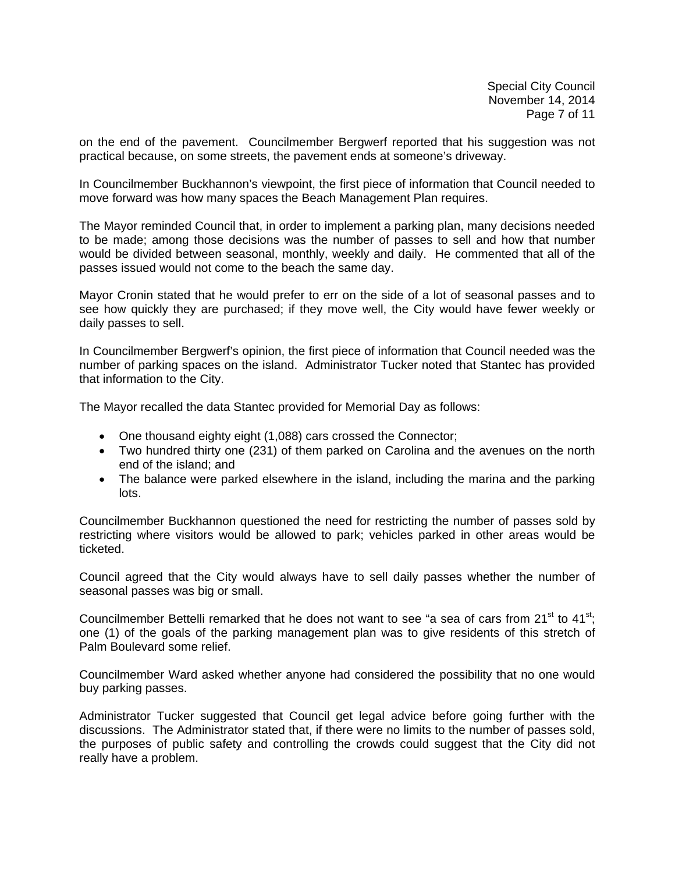Special City Council November 14, 2014 Page 7 of 11

on the end of the pavement. Councilmember Bergwerf reported that his suggestion was not practical because, on some streets, the pavement ends at someone's driveway.

In Councilmember Buckhannon's viewpoint, the first piece of information that Council needed to move forward was how many spaces the Beach Management Plan requires.

The Mayor reminded Council that, in order to implement a parking plan, many decisions needed to be made; among those decisions was the number of passes to sell and how that number would be divided between seasonal, monthly, weekly and daily. He commented that all of the passes issued would not come to the beach the same day.

Mayor Cronin stated that he would prefer to err on the side of a lot of seasonal passes and to see how quickly they are purchased; if they move well, the City would have fewer weekly or daily passes to sell.

In Councilmember Bergwerf's opinion, the first piece of information that Council needed was the number of parking spaces on the island. Administrator Tucker noted that Stantec has provided that information to the City.

The Mayor recalled the data Stantec provided for Memorial Day as follows:

- One thousand eighty eight (1,088) cars crossed the Connector;
- Two hundred thirty one (231) of them parked on Carolina and the avenues on the north end of the island; and
- The balance were parked elsewhere in the island, including the marina and the parking lots.

Councilmember Buckhannon questioned the need for restricting the number of passes sold by restricting where visitors would be allowed to park; vehicles parked in other areas would be ticketed.

Council agreed that the City would always have to sell daily passes whether the number of seasonal passes was big or small.

Councilmember Bettelli remarked that he does not want to see "a sea of cars from  $21^{st}$  to  $41^{st}$ ; one (1) of the goals of the parking management plan was to give residents of this stretch of Palm Boulevard some relief.

Councilmember Ward asked whether anyone had considered the possibility that no one would buy parking passes.

Administrator Tucker suggested that Council get legal advice before going further with the discussions. The Administrator stated that, if there were no limits to the number of passes sold, the purposes of public safety and controlling the crowds could suggest that the City did not really have a problem.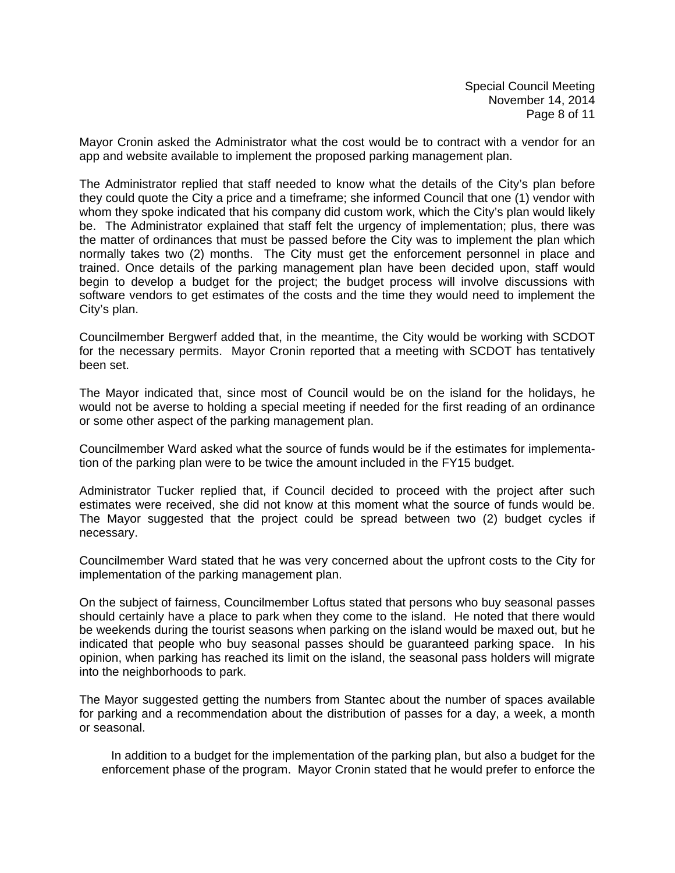Mayor Cronin asked the Administrator what the cost would be to contract with a vendor for an app and website available to implement the proposed parking management plan.

The Administrator replied that staff needed to know what the details of the City's plan before they could quote the City a price and a timeframe; she informed Council that one (1) vendor with whom they spoke indicated that his company did custom work, which the City's plan would likely be. The Administrator explained that staff felt the urgency of implementation; plus, there was the matter of ordinances that must be passed before the City was to implement the plan which normally takes two (2) months. The City must get the enforcement personnel in place and trained. Once details of the parking management plan have been decided upon, staff would begin to develop a budget for the project; the budget process will involve discussions with software vendors to get estimates of the costs and the time they would need to implement the City's plan.

Councilmember Bergwerf added that, in the meantime, the City would be working with SCDOT for the necessary permits. Mayor Cronin reported that a meeting with SCDOT has tentatively been set.

The Mayor indicated that, since most of Council would be on the island for the holidays, he would not be averse to holding a special meeting if needed for the first reading of an ordinance or some other aspect of the parking management plan.

Councilmember Ward asked what the source of funds would be if the estimates for implementation of the parking plan were to be twice the amount included in the FY15 budget.

Administrator Tucker replied that, if Council decided to proceed with the project after such estimates were received, she did not know at this moment what the source of funds would be. The Mayor suggested that the project could be spread between two (2) budget cycles if necessary.

Councilmember Ward stated that he was very concerned about the upfront costs to the City for implementation of the parking management plan.

On the subject of fairness, Councilmember Loftus stated that persons who buy seasonal passes should certainly have a place to park when they come to the island. He noted that there would be weekends during the tourist seasons when parking on the island would be maxed out, but he indicated that people who buy seasonal passes should be guaranteed parking space. In his opinion, when parking has reached its limit on the island, the seasonal pass holders will migrate into the neighborhoods to park.

The Mayor suggested getting the numbers from Stantec about the number of spaces available for parking and a recommendation about the distribution of passes for a day, a week, a month or seasonal.

In addition to a budget for the implementation of the parking plan, but also a budget for the enforcement phase of the program. Mayor Cronin stated that he would prefer to enforce the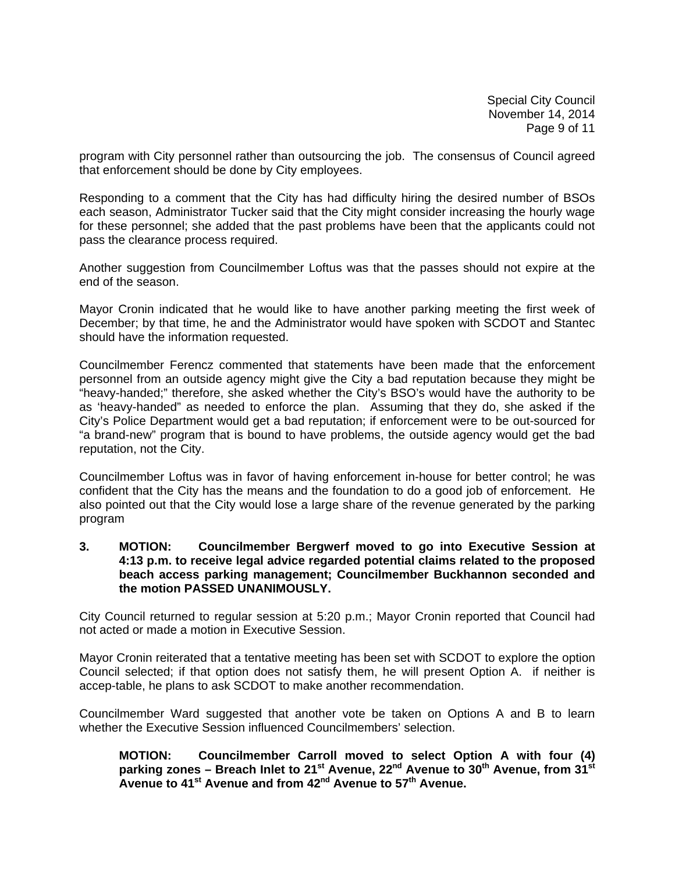Special City Council November 14, 2014 Page 9 of 11

program with City personnel rather than outsourcing the job. The consensus of Council agreed that enforcement should be done by City employees.

Responding to a comment that the City has had difficulty hiring the desired number of BSOs each season, Administrator Tucker said that the City might consider increasing the hourly wage for these personnel; she added that the past problems have been that the applicants could not pass the clearance process required.

Another suggestion from Councilmember Loftus was that the passes should not expire at the end of the season.

Mayor Cronin indicated that he would like to have another parking meeting the first week of December; by that time, he and the Administrator would have spoken with SCDOT and Stantec should have the information requested.

Councilmember Ferencz commented that statements have been made that the enforcement personnel from an outside agency might give the City a bad reputation because they might be "heavy-handed;" therefore, she asked whether the City's BSO's would have the authority to be as 'heavy-handed" as needed to enforce the plan. Assuming that they do, she asked if the City's Police Department would get a bad reputation; if enforcement were to be out-sourced for "a brand-new" program that is bound to have problems, the outside agency would get the bad reputation, not the City.

Councilmember Loftus was in favor of having enforcement in-house for better control; he was confident that the City has the means and the foundation to do a good job of enforcement. He also pointed out that the City would lose a large share of the revenue generated by the parking program

### **3. MOTION: Councilmember Bergwerf moved to go into Executive Session at 4:13 p.m. to receive legal advice regarded potential claims related to the proposed beach access parking management; Councilmember Buckhannon seconded and the motion PASSED UNANIMOUSLY.**

City Council returned to regular session at 5:20 p.m.; Mayor Cronin reported that Council had not acted or made a motion in Executive Session.

Mayor Cronin reiterated that a tentative meeting has been set with SCDOT to explore the option Council selected; if that option does not satisfy them, he will present Option A. if neither is accep-table, he plans to ask SCDOT to make another recommendation.

Councilmember Ward suggested that another vote be taken on Options A and B to learn whether the Executive Session influenced Councilmembers' selection.

**MOTION: Councilmember Carroll moved to select Option A with four (4)**  parking zones – Breach Inlet to 21<sup>st</sup> Avenue, 22<sup>nd</sup> Avenue to 30<sup>th</sup> Avenue, from 31<sup>st</sup> **Avenue to 41st Avenue and from 42nd Avenue to 57th Avenue.**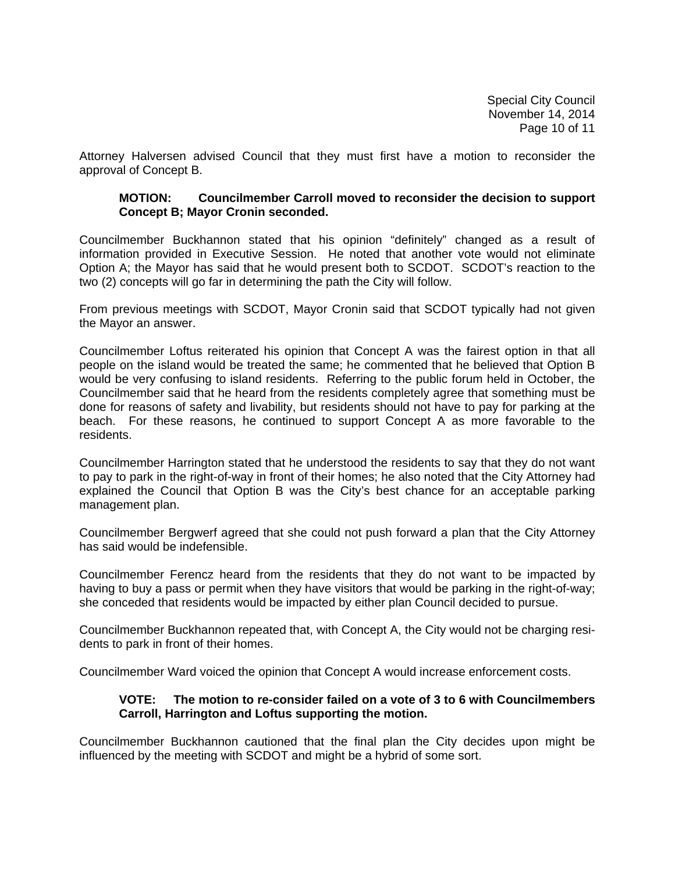Special City Council November 14, 2014 Page 10 of 11

Attorney Halversen advised Council that they must first have a motion to reconsider the approval of Concept B.

#### **MOTION: Councilmember Carroll moved to reconsider the decision to support Concept B; Mayor Cronin seconded.**

Councilmember Buckhannon stated that his opinion "definitely" changed as a result of information provided in Executive Session. He noted that another vote would not eliminate Option A; the Mayor has said that he would present both to SCDOT. SCDOT's reaction to the two (2) concepts will go far in determining the path the City will follow.

From previous meetings with SCDOT, Mayor Cronin said that SCDOT typically had not given the Mayor an answer.

Councilmember Loftus reiterated his opinion that Concept A was the fairest option in that all people on the island would be treated the same; he commented that he believed that Option B would be very confusing to island residents. Referring to the public forum held in October, the Councilmember said that he heard from the residents completely agree that something must be done for reasons of safety and livability, but residents should not have to pay for parking at the beach. For these reasons, he continued to support Concept A as more favorable to the residents.

Councilmember Harrington stated that he understood the residents to say that they do not want to pay to park in the right-of-way in front of their homes; he also noted that the City Attorney had explained the Council that Option B was the City's best chance for an acceptable parking management plan.

Councilmember Bergwerf agreed that she could not push forward a plan that the City Attorney has said would be indefensible.

Councilmember Ferencz heard from the residents that they do not want to be impacted by having to buy a pass or permit when they have visitors that would be parking in the right-of-way; she conceded that residents would be impacted by either plan Council decided to pursue.

Councilmember Buckhannon repeated that, with Concept A, the City would not be charging residents to park in front of their homes.

Councilmember Ward voiced the opinion that Concept A would increase enforcement costs.

## **VOTE: The motion to re-consider failed on a vote of 3 to 6 with Councilmembers Carroll, Harrington and Loftus supporting the motion.**

Councilmember Buckhannon cautioned that the final plan the City decides upon might be influenced by the meeting with SCDOT and might be a hybrid of some sort.